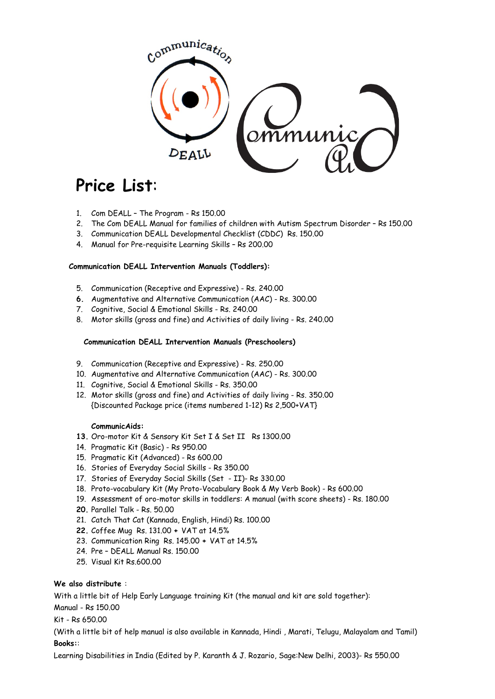

# **Price List**:

- 1. Com DEALL The Program Rs 150.00
- 2. The Com DEALL Manual for families of children with Autism Spectrum Disorder Rs 150.00
- 3. Communication DEALL Developmental Checklist (CDDC) Rs. 150.00
- 4. Manual for Pre-requisite Learning Skills Rs 200.00

#### **Communication DEALL Intervention Manuals (Toddlers):**

- 5. Communication (Receptive and Expressive) Rs. 240.00
- **6.** Augmentative and Alternative Communication (AAC) Rs. 300.00
- 7. Cognitive, Social & Emotional Skills Rs. 240.00
- 8. Motor skills (gross and fine) and Activities of daily living Rs. 240.00

## **Communication DEALL Intervention Manuals (Preschoolers)**

- 9. Communication (Receptive and Expressive) Rs. 250.00
- 10. Augmentative and Alternative Communication (AAC) Rs. 300.00
- 11. Cognitive, Social & Emotional Skills Rs. 350.00
- 12. Motor skills (gross and fine) and Activities of daily living Rs. 350.00 {Discounted Package price (items numbered 1-12) Rs 2,500+VAT}

#### **CommunicAids:**

- **13.** Oro-motor Kit & Sensory Kit Set I & Set II Rs 1300.00
- 14. Pragmatic Kit (Basic) Rs 950.00
- 15. Pragmatic Kit (Advanced) Rs 600.00
- 16. Stories of Everyday Social Skills Rs 350.00
- 17. Stories of Everyday Social Skills (Set II)- Rs 330.00
- 18. Proto-vocabulary Kit (My Proto-Vocabulary Book & My Verb Book) Rs 600.00
- 19. Assessment of oro-motor skills in toddlers: A manual (with score sheets) Rs. 180.00
- **20.** Parallel Talk Rs. 50.00
- 21. Catch That Cat (Kannada, English, Hindi) Rs. 100.00
- **22.** Coffee Mug Rs. 131.00 **+** VAT at 14.5%
- 23. Communication Ring Rs. 145.00 **+** VAT at 14.5%
- 24. Pre DEALL Manual Rs. 150.00
- 25. Visual Kit Rs.600.00

# **We also distribute** :

With a little bit of Help Early Language training Kit (the manual and kit are sold together):

Manual - Rs 150.00

# Kit - Rs 650.00

(With a little bit of help manual is also available in Kannada, Hindi , Marati, Telugu, Malayalam and Tamil) **Books:**:

Learning Disabilities in India (Edited by P. Karanth & J. Rozario, Sage:New Delhi, 2003)- Rs 550.00